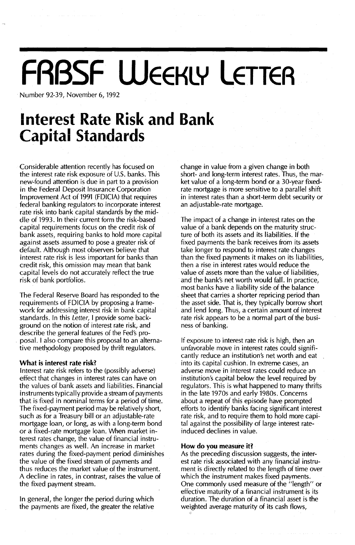# **FABSF WEEKLY LETTER**

Number 92-39, November 6, 1992

## **Interest Rate Risk and Bank Capital Standards**

Considerable attention recently has focused on the interest rate risk exposure of U.S. banks. This new-found attention is due in part to a provision in the Federal Deposit Insurance Corporation Improvement Act of 1991 (FDIClA) that requires federal banking regulators to incorporate interest rate risk into bank capital standards by the middle of 1993. In their current form the risk-based capital requirements focus on the credit risk of bank assets, requiring banks to hold more capital against assets assumed to pose a greater risk of default. Although most observers believe that interest rate risk is less important for banks than credit risk, this omission may mean that bank capital levels do not accurately reflect the true risk of bank portfolios.

The Federal Reserve Board has responded to the requirements of FDICIA by proposing a framework for addressing interest risk in bank capital standards. In this Letter, I provide some background on the notion of interest rate risk, and describe the general features of the Fed's proposal. I also compare this proposal to an alternative methodology proposed by thrift regulators.

#### What is interest rate risk?

Interest rate risk refers to the (possibly adverse) effect that changes in interest rates can have on the values of bank assets and liabilities. Financial instruments typically provide a stream of payments that is fixed in nominal terms for a period of time. The fixed-payment period may be relatively short, such as for a Treasury bill or an adjustable-rate mortgage loan, or long, as with a long-term bond or a fixed-rate mortgage loan. When market interest rates change, the value of financial instruments changes as well. An increase in market rates during the fixed-payment period diminishes the value of the fixed stream of payments and thus reduces the market value of the instrument. A decline in rates, in contrast, raises the value of the fixed payment stream.

In general, the longer the period during which the payments are fixed, the greater the relative change in value from a given change in both short- and long-term interest rates. Thus, the market value of a long-term bond or a 3D-year fixedrate mortgage is more sensitive to a parallel shift in interest rates than a short-term debt security or an adjustable-rate mortgage.

The impact of a change in interest rates on the value of a bank depends on the maturity structure of both its assets and its liabilities. If the fixed payments the bank receives from its assets take longer to respond to interest rate changes than the fixed payments it makes on its liabilities, then a rise in interest rates would reduce the value of assets more than the value of liabilities, and the bank's net worth would fall. In practice, most banks have a liability side of the balance sheet that carries a shorter repricing period than the asset side. That is, they typically borrow short and lend long. Thus, a certain amount of interest rate risk appears to be a normal part of the business of banking.

If exposure to interest rate risk is high, then an unfavorable move in interest rates could significantly reduce an institution's net worth and eat into its capital cushion. In extreme cases, an adverse move in interest rates could reduce an institution's capital below the level required by regulators. This is what happened to many thrifts in the late 1970s and early 1980s. Concerns about a repeat of this episode have prompted efforts to identify banks facing significant interest rate risk, and to require them to hold more capital against the possibility of large interest rateinduced declines in value.

#### How do you measure it?

As the preceding discussion suggests, the interest rate risk associated with any financial instrument is directly related to the length of time over which the instrument makes fixed payments. One commonly used measure of the "length" or effective maturity of a financial instrument is its duration. The duration of a financial asset is the weighted average maturity of its cash flows,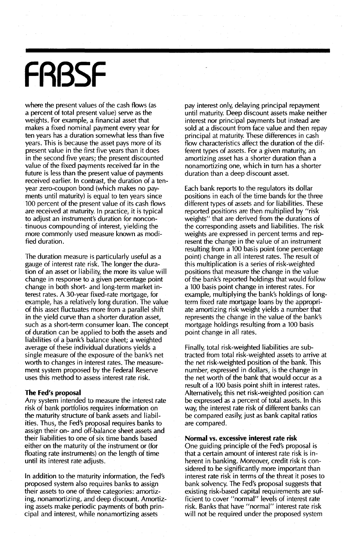# **FRBSF**

where the present values of the cash flows (as a percent of total present value) serve as the weights. For example, a financial asset that makes a fixed nominal payment every year for ten years has a duration somewhat less than five years. This is because the asset pays more of its present value in the first five years than it does in the second five years; the present discounted value of the fixed payments received far in the future is less than the present value of payments received earlier. In contrast, the duration of a tenyear zero-coupon bond (which makes no payments until maturity) is equal to ten years since 100 percent of the present value of its cash flows are received at maturity. In practice, it is typical to adjust an instrument's duration for noncon- . tinuous compounding of interest, yielding the more commonly used measure known as modified duration.

The duration measure is particuiariy useful as a gauge of interest rate risk. The longer the duration of an asset or liability, the more its value will change in response to a given percentage point change in both short- and long-term market interest rates. A 30-year fixed-rate mortgage, for example, has a relatively long duration. The value of this asset fluctuates more from a parallel shift in the yield curve than a shorter duration asset, such as a short-term consumer loan. The concept of duration can be applied to both the assets and· liabilities of a bank's balance sheet; a weighted average of these individual durations yields a single measure of the exposure of the bank's net worth to changes in interest rates. The measurement system proposed by the Federal Reserve uses this method to assess interest rate risk.

#### The Fed's proposal

Any system intended to measure the interest rate risk of bank portfolios requires information on the maturity structure of bank assets and liabilities. Thus, the Fed's proposal requires banks to assign their on- and off-balance sheet assets and their liabilities to one of six time bands based either on the maturity of the instrument or (for floating rate instruments) on the length of time until its interest rate adjusts.

in addition to the maturity information, the Fed's proposed system also requires banks to assign their assets to one of three categories: amortizing, nonamortizing, and deep discount. Amortizing assets make periodic payments of both principal and interest, while nonamortizing assets

pay interest only, delaying principal repayment until maturity. Deep discount assets make neither interest nor principal payments but instead are sold at a discount from face value and then repay principal at maturity. These differences in cash flow characteristics affect the duration of the different types of assets. For a given maturity, an amortizing asset has a shorter duration than a nonamortizing one, which in turn has a shorter duration than a deep discount asset.

Each bank reports to the regulators its dollar positions in each of the time bands for the three different types of assets and for liabilities. These reported positions are then multiplied by "risk weights" that are derived from the durations of the corresponding assets and liabilities. The risk weights are expressed in percent terms and represent the change in the value of an instrument resulting from a 100 basis point (one percentage point) change in all interest rates. The result of this multiplication is a series of risk-weighted positions that measure the change in the value of the bank's reported holdings that would follow a 100 basis point change in interest rates. For example, multiplying the bank's holdings of longterm fixed rate mortgage loans by the appropriate amortizing risk weight yields a number that represents the change in the value of the bank's mortgage holdings resulting from a 100 basis point change in all rates.

Finally, total risk-weighted liabilities are subtracted from total risk-weighted assets to arrive at the net risk-weighted position of the bank. This number, expressed in dollars, is the change in the net worth of the bank that would occur as a result of a 100 basis point shift in interest rates. Alternatively, this net risk-weighted position can be expressed as a percent of total assets. In this way, the interest rate risk of different banks can be compared easily, just as bank capital ratios are compared.

#### Normal vs. excessive interest rate risk

One guiding principle of the fed's proposal is that a certain amount of interest rate risk is inherent in banking. Moreover, credit risk is considered to be significantly more important than interest rate risk in terms of the threat it poses to bank solvency. The Fed's proposal suggests that existing risk-based capital requirements are sufficient to cover "normal" levels of interest rate risk. Banks that have "normal" interest rate risk will not be required under the proposed system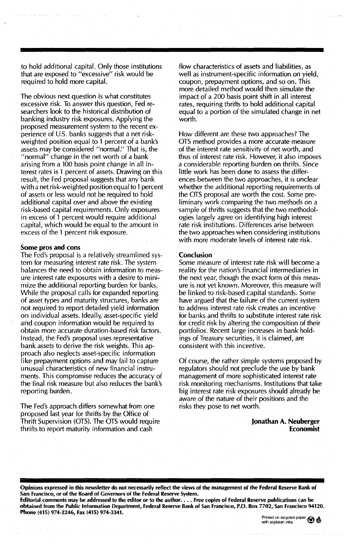to hold additional capital. Only those institutions that are exposed to "excessive" risk would be required to hold more capital.

The obvious next question is what constitutes excessive risk. To answer this question, Fed researchers look to the historical distribution of banking industry risk exposures. Applying the proposed measurement system to the recent experience of U.S. banks suggests that a net riskweighted position equal to 1 percent of a bank's assets may be considered "normaL" That is, the "normal" change in the net worth of a bank arising from a 100 basis point change in all interest rates is 1 percent of assets. Drawing on this result, the Fed proposal suggests that any bank with a net risk-weighted position equal to 1 percent of assets or less would not be required to hold additional capital over and above the existing risk-based capital requirements. Only exposures in excess of 1 percent would require additional capital, which would be equal to the amount in excess of the 1 percent risk exposure.

#### Some pros and cons

The Fed's proposal is a relatively streamlined system for measuring interest rate risk. The system balances the need to obtain information to measure interest rate exposures with a desire to minimize the additional reporting burden for banks. While the proposal calls for expanded reporting of asset types and maturity structures, banks are not required to report detailed yield information on individual assets. Ideally, asset-specific yield and coupon information would be required to obtain more accurate duration-based risk factors. Instead, the Fed's proposal uses representative bank assets to derive the risk weights. This approach also neglects asset-specific information like prepayment options and may fail to capture unusual characteristics of new financial instruments. This compromise reduces the accuracy of the final risk measure but also reduces the bank's reporting burden.

The Fed's approach differs somewhat from one proposed last year for thrifts by the Office of Thrift Supervision (OTS). The OTS would require thrifts to report maturity information and cash

Phone (415) 974-2246, Fax (415) 974-3341.

flow characteristics of assets and liabilities, as well as instrument-specific information on yield, coupon, prepayment options, and so on. This more detailed method would then simulate the impact of a 200 basis point shift in all interest rates, requiring thrifts to hold additional capital equal to a portion of the simulated change in net worth.

How different are these two approaches? The OTS method provides a more accurate measure of the interest rate sensitivity of net worth, and thus of interest rate risk. However, it also imposes a considerable reporting burden on thrifts. Since little work has been done to assess the differences between the two approaches, it is unclear whether the additional reporting requirements of the OTS proposal are worth the cost. Some preliminary work comparing the two methods on a sample of thrifts suggests that the two methodologies largely agree on identifying high interest rate risk institutions. Differences arise between the two approaches when considering institutions with more moderate levels of interest rate risk.

#### Conclusion

Some measure of interest rate riskwill become a reality for the nation's financial intermediaries in the next year, though the exact form of this measure is not yet known. Moreover, this measure will be linked to risk-based capital standards. Some have argued that the failure of the current system to address interest rate risk creates an incentive for banks and thrifts to substitute interest rate risk for credit risk by altering the composition of their portfolios. Recent large increases in bank holdings of Treasury securities, it is claimed, are consistent with this incentive.

Of course, the rather simple systems proposed by regulators should not preclude the use by bank management of more sophisticated interest rate risk monitoring mechanisms. Institutions that take big interest rate risk exposures should already be aware of the nature of their positions and the risks they pose to net worth.

> Jonathan A. Neuberger Economist

Opinions expressed in this newsletter do not necessarily reflect the views of the management of the Federal Reserve Bank of San Francisco, or of the Board of Governors of the Federal Reserve System. Editorial comments may be addressed to the editor or to the author.... Free copies of Federal Reserve publications can be obtained from the Public Information Department, Federal Reserve Bank of San Francisco, P.O. Box 7702, San Francisco 94120.

Printed on recycled paper  $\bigotimes$   $\bigotimes$